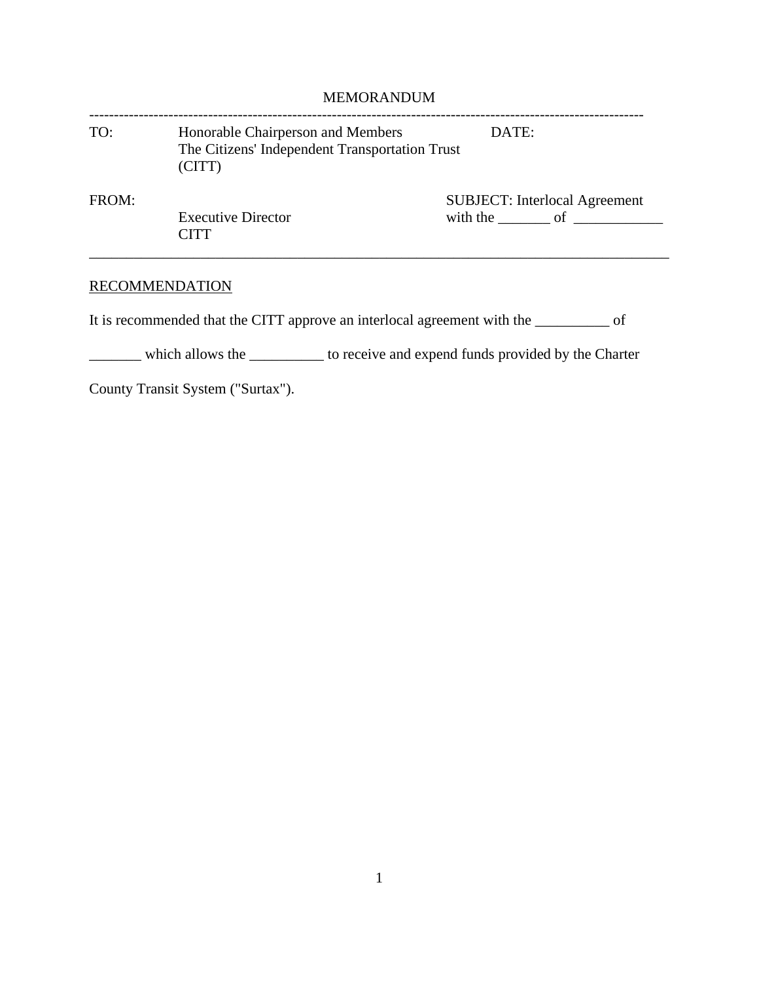| <b>MEMORANDUM</b> |                                                                                               |                                                                       |
|-------------------|-----------------------------------------------------------------------------------------------|-----------------------------------------------------------------------|
| TO:               | Honorable Chairperson and Members<br>The Citizens' Independent Transportation Trust<br>(CITT) | DATE:                                                                 |
| FROM:             | <b>Executive Director</b><br><b>CITT</b>                                                      | <b>SUBJECT:</b> Interlocal Agreement<br>with the $\qquad$ of $\qquad$ |

## RECOMMENDATION

It is recommended that the CITT approve an interlocal agreement with the \_\_\_\_\_\_\_\_\_\_ of

\_\_\_\_\_\_\_ which allows the \_\_\_\_\_\_\_\_\_\_ to receive and expend funds provided by the Charter

County Transit System ("Surtax").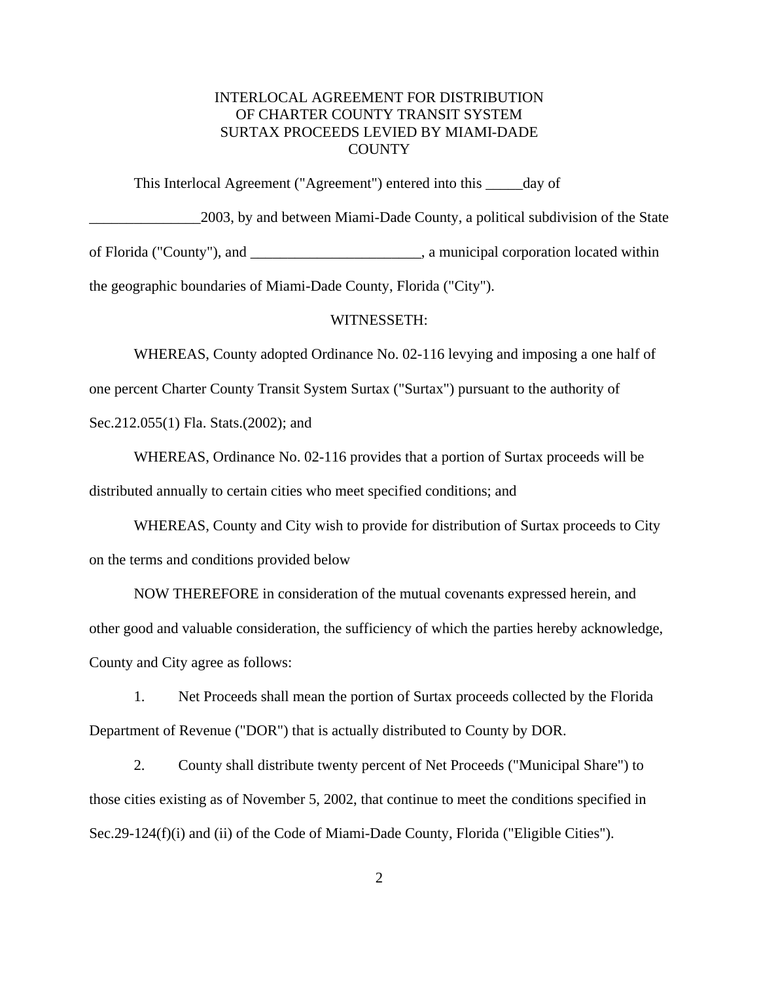## INTERLOCAL AGREEMENT FOR DISTRIBUTION OF CHARTER COUNTY TRANSIT SYSTEM SURTAX PROCEEDS LEVIED BY MIAMI-DADE **COUNTY**

This Interlocal Agreement ("Agreement") entered into this \_\_\_\_\_day of \_\_\_\_\_\_\_\_\_\_\_\_\_\_\_2003, by and between Miami-Dade County, a political subdivision of the State of Florida ("County"), and \_\_\_\_\_\_\_\_\_\_\_\_\_\_\_\_\_\_\_\_\_\_\_, a municipal corporation located within the geographic boundaries of Miami-Dade County, Florida ("City").

## WITNESSETH:

WHEREAS, County adopted Ordinance No. 02-116 levying and imposing a one half of one percent Charter County Transit System Surtax ("Surtax") pursuant to the authority of Sec.212.055(1) Fla. Stats.(2002); and

WHEREAS, Ordinance No. 02-116 provides that a portion of Surtax proceeds will be distributed annually to certain cities who meet specified conditions; and

WHEREAS, County and City wish to provide for distribution of Surtax proceeds to City on the terms and conditions provided below

NOW THEREFORE in consideration of the mutual covenants expressed herein, and other good and valuable consideration, the sufficiency of which the parties hereby acknowledge, County and City agree as follows:

1. Net Proceeds shall mean the portion of Surtax proceeds collected by the Florida Department of Revenue ("DOR") that is actually distributed to County by DOR.

2. County shall distribute twenty percent of Net Proceeds ("Municipal Share") to those cities existing as of November 5, 2002, that continue to meet the conditions specified in Sec.29-124(f)(i) and (ii) of the Code of Miami-Dade County, Florida ("Eligible Cities").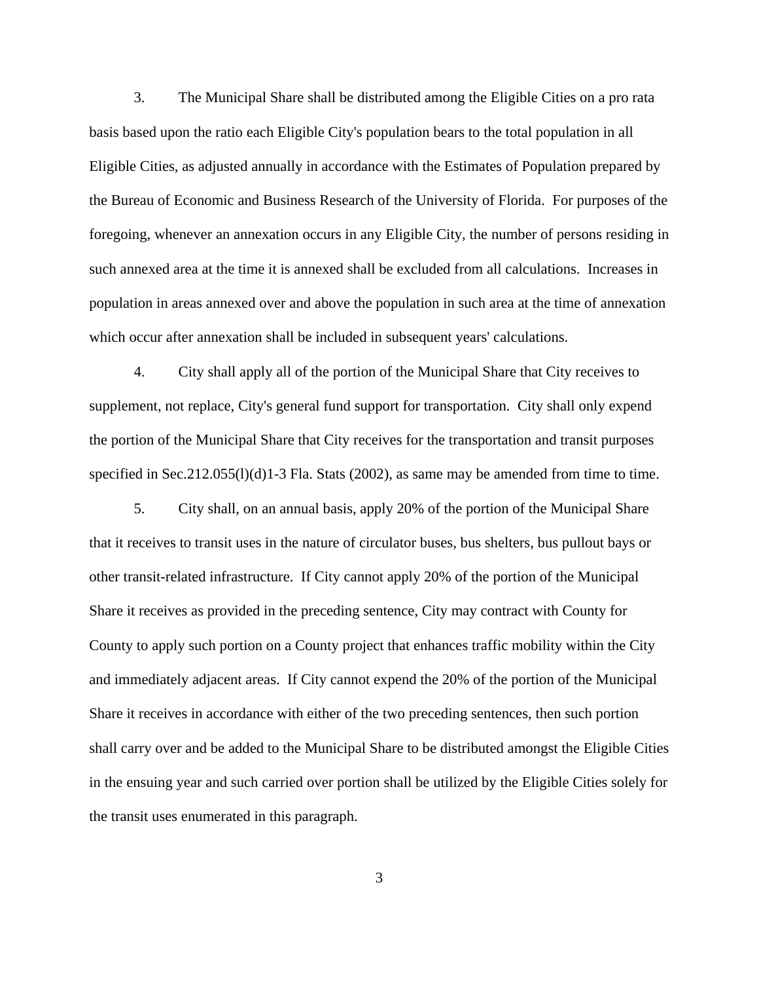3. The Municipal Share shall be distributed among the Eligible Cities on a pro rata basis based upon the ratio each Eligible City's population bears to the total population in all Eligible Cities, as adjusted annually in accordance with the Estimates of Population prepared by the Bureau of Economic and Business Research of the University of Florida. For purposes of the foregoing, whenever an annexation occurs in any Eligible City, the number of persons residing in such annexed area at the time it is annexed shall be excluded from all calculations. Increases in population in areas annexed over and above the population in such area at the time of annexation which occur after annexation shall be included in subsequent years' calculations.

4. City shall apply all of the portion of the Municipal Share that City receives to supplement, not replace, City's general fund support for transportation. City shall only expend the portion of the Municipal Share that City receives for the transportation and transit purposes specified in Sec.212.055(l)(d)1-3 Fla. Stats (2002), as same may be amended from time to time.

5. City shall, on an annual basis, apply 20% of the portion of the Municipal Share that it receives to transit uses in the nature of circulator buses, bus shelters, bus pullout bays or other transit-related infrastructure. If City cannot apply 20% of the portion of the Municipal Share it receives as provided in the preceding sentence, City may contract with County for County to apply such portion on a County project that enhances traffic mobility within the City and immediately adjacent areas. If City cannot expend the 20% of the portion of the Municipal Share it receives in accordance with either of the two preceding sentences, then such portion shall carry over and be added to the Municipal Share to be distributed amongst the Eligible Cities in the ensuing year and such carried over portion shall be utilized by the Eligible Cities solely for the transit uses enumerated in this paragraph.

3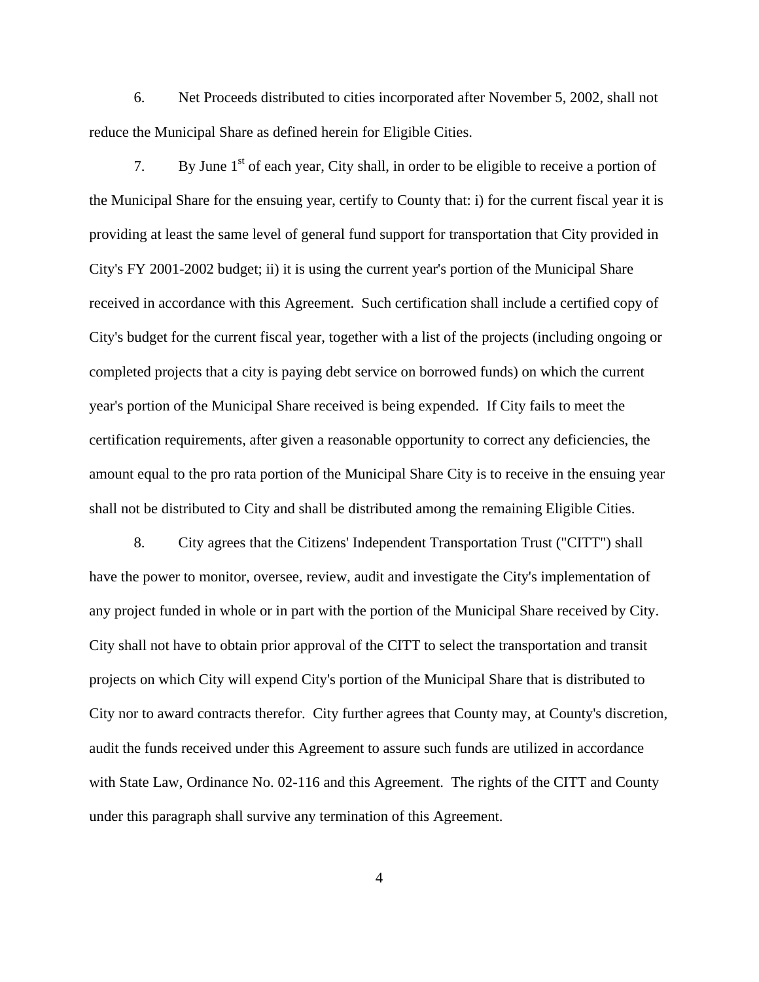6. Net Proceeds distributed to cities incorporated after November 5, 2002, shall not reduce the Municipal Share as defined herein for Eligible Cities.

7. By June  $1<sup>st</sup>$  of each year, City shall, in order to be eligible to receive a portion of the Municipal Share for the ensuing year, certify to County that: i) for the current fiscal year it is providing at least the same level of general fund support for transportation that City provided in City's FY 2001-2002 budget; ii) it is using the current year's portion of the Municipal Share received in accordance with this Agreement. Such certification shall include a certified copy of City's budget for the current fiscal year, together with a list of the projects (including ongoing or completed projects that a city is paying debt service on borrowed funds) on which the current year's portion of the Municipal Share received is being expended. If City fails to meet the certification requirements, after given a reasonable opportunity to correct any deficiencies, the amount equal to the pro rata portion of the Municipal Share City is to receive in the ensuing year shall not be distributed to City and shall be distributed among the remaining Eligible Cities.

8. City agrees that the Citizens' Independent Transportation Trust ("CITT") shall have the power to monitor, oversee, review, audit and investigate the City's implementation of any project funded in whole or in part with the portion of the Municipal Share received by City. City shall not have to obtain prior approval of the CITT to select the transportation and transit projects on which City will expend City's portion of the Municipal Share that is distributed to City nor to award contracts therefor. City further agrees that County may, at County's discretion, audit the funds received under this Agreement to assure such funds are utilized in accordance with State Law, Ordinance No. 02-116 and this Agreement. The rights of the CITT and County under this paragraph shall survive any termination of this Agreement.

4